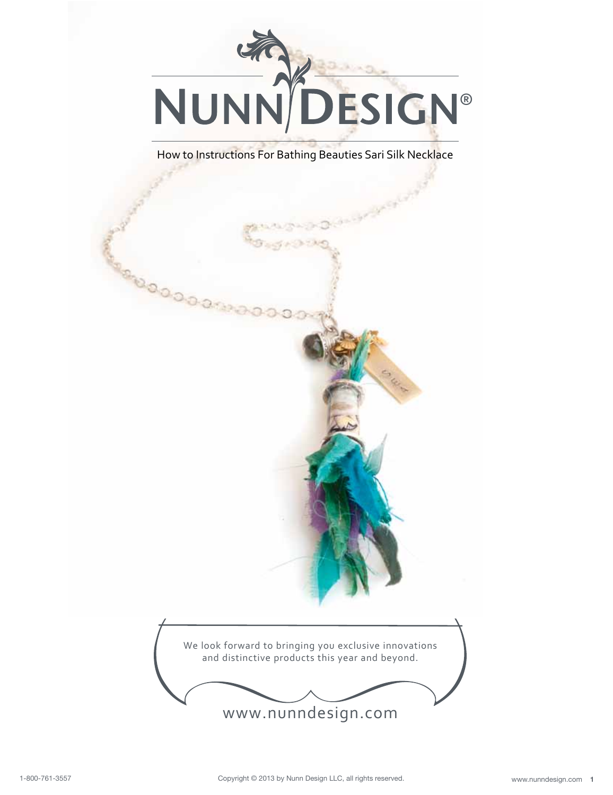

How to Instructions For Bathing Beauties Sari Silk Necklace

80000

We look forward to bringing you exclusive innovations and distinctive products this year and beyond.

www.nunndesign.com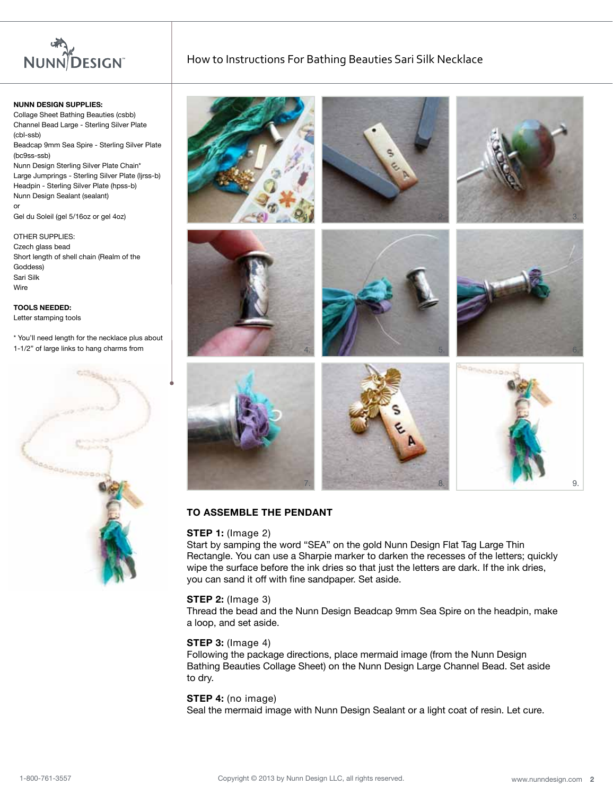

**NUNN DESIGN SUPPLIES:** Collage Sheet Bathing Beauties (csbb) Channel Bead Large - Sterling Silver Plate (cbl-ssb) Beadcap 9mm Sea Spire - Sterling Silver Plate (bc9ss-ssb) Nunn Design Sterling Silver Plate Chain\* Large Jumprings - Sterling Silver Plate (ljrss-b) Headpin - Sterling Silver Plate (hpss-b) Nunn Design Sealant (sealant)

or Gel du Soleil (gel 5/16oz or gel 4oz)

OTHER SUPPLIES: Czech glass bead Short length of shell chain (Realm of the Goddess) Sari Silk **Wire** 

**TOOLS NEEDED:** Letter stamping tools

\* You'll need length for the necklace plus about 1-1/2" of large links to hang charms from



How to Instructions For Bathing Beauties Sari Silk Necklace



## **TO ASSEMBLE THE PENDANT**

#### **STEP 1:** (Image 2)

Start by samping the word "SEA" on the gold Nunn Design Flat Tag Large Thin Rectangle. You can use a Sharpie marker to darken the recesses of the letters; quickly wipe the surface before the ink dries so that just the letters are dark. If the ink dries, you can sand it off with fine sandpaper. Set aside.

#### **STEP 2:** (Image 3)

Thread the bead and the Nunn Design Beadcap 9mm Sea Spire on the headpin, make a loop, and set aside.

#### **STEP 3:** (Image 4)

Following the package directions, place mermaid image (from the Nunn Design Bathing Beauties Collage Sheet) on the Nunn Design Large Channel Bead. Set aside to dry.

#### **STEP 4:** (no image)

Seal the mermaid image with Nunn Design Sealant or a light coat of resin. Let cure.